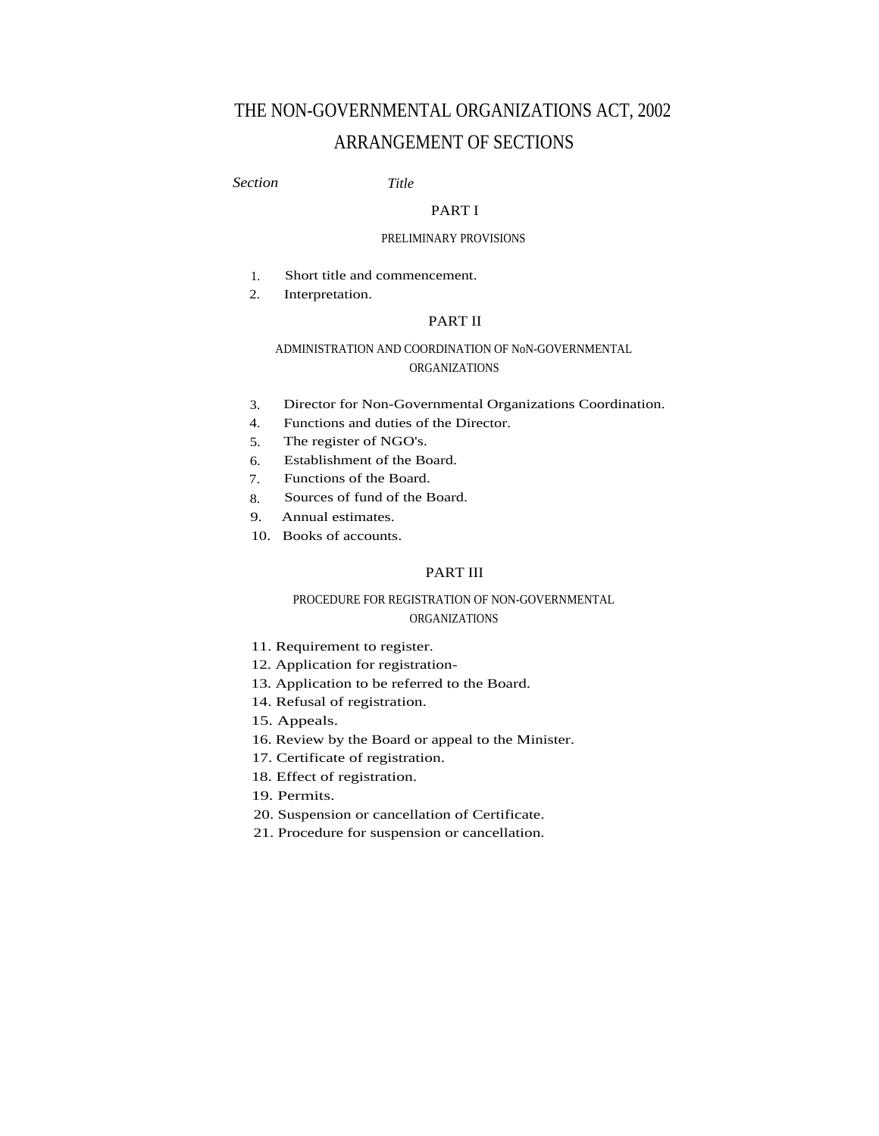# THE NON-GOVERNMENTAL ORGANIZATIONS ACT, 2002 ARRANGEMENT OF SECTIONS

*Section Title*

# PART I

# PRELIMINARY PROVISIONS

- 1. Short title and commencement.
- 2. Interpretation.

#### PART II

# ADMINISTRATION AND COORDINATION OF NoN-GOVERNMENTAL ORGANIZATIONS

- 3. Director for Non-Governmental Organizations Coordination.
- Functions and duties of the Director. 4.
- The register of NGO's. 5.
- Establishment of the Board. 6.
- Functions of the Board. 7.
- Sources of fund of the Board. 8.
- 9. Annual estimates.
- 10. Books of accounts.

# PART III

# PROCEDURE FOR REGISTRATION OF NON-GOVERNMENTAL ORGANIZATIONS

- 11. Requirement to register.
- 12. Application for registration-
- 13. Application to be referred to the Board.
- 14. Refusal of registration.
- 15. Appeals.
- 16. Review by the Board or appeal to the Minister.
- 17. Certificate of registration.
- 18. Effect of registration.
- 19. Permits.
- 20. Suspension or cancellation of Certificate.
- 21. Procedure for suspension or cancellation.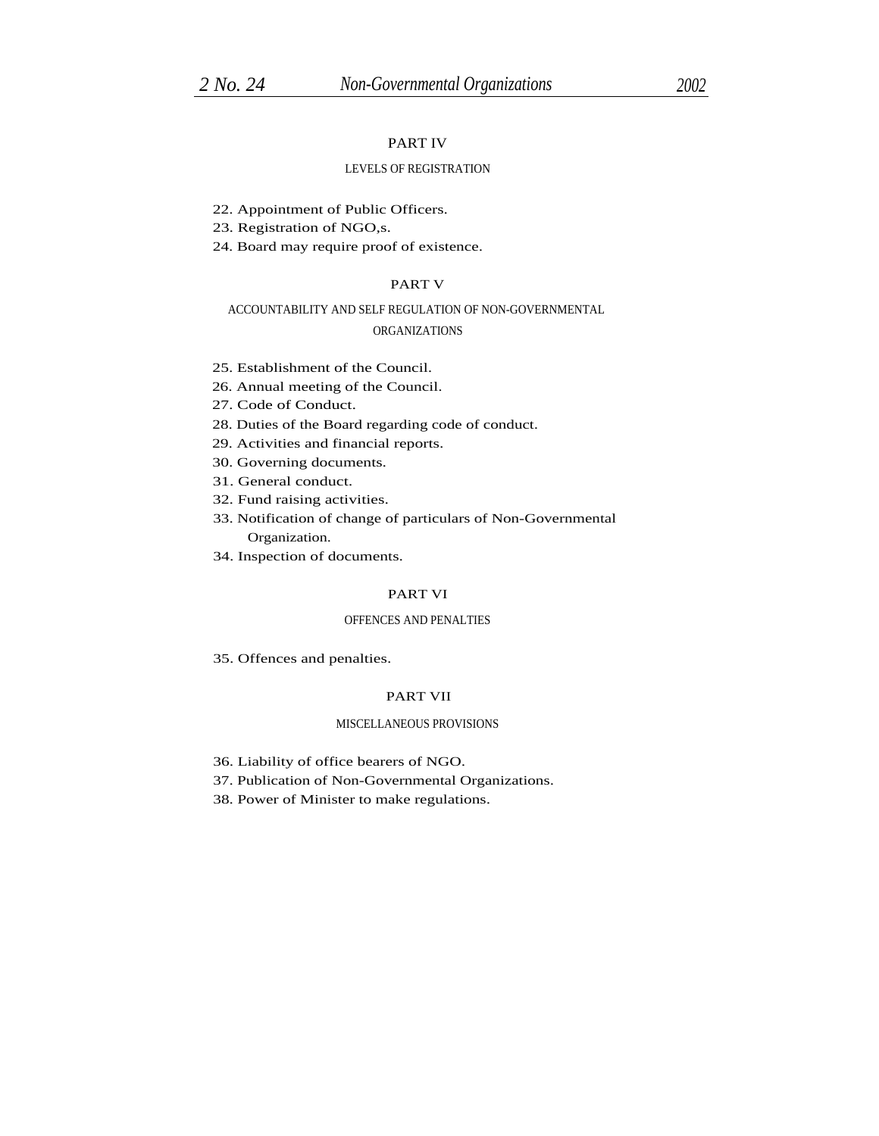# PART IV

#### LEVELS OF REGISTRATION

22. Appointment of Public Officers.

23. Registration of NGO,s.

24. Board may require proof of existence.

#### PART V

# ACCOUNTABILITY AND SELF REGULATION OF NON-GOVERNMENTAL

# ORGANIZATIONS

- 25. Establishment of the Council.
- 26. Annual meeting of the Council.
- 27. Code of Conduct.
- 28. Duties of the Board regarding code of conduct.
- 29. Activities and financial reports.
- 30. Governing documents.
- 31. General conduct.
- 32. Fund raising activities.
- 33. Notification of change of particulars of Non-Governmental Organization.
- 34. Inspection of documents.

#### PART VI

#### OFFENCES AND PENALTIES

35. Offences and penalties.

#### PART VII

#### MISCELLANEOUS PROVISIONS

- 36. Liability of office bearers of NGO.
- 37. Publication of Non-Governmental Organizations.
- 38. Power of Minister to make regulations.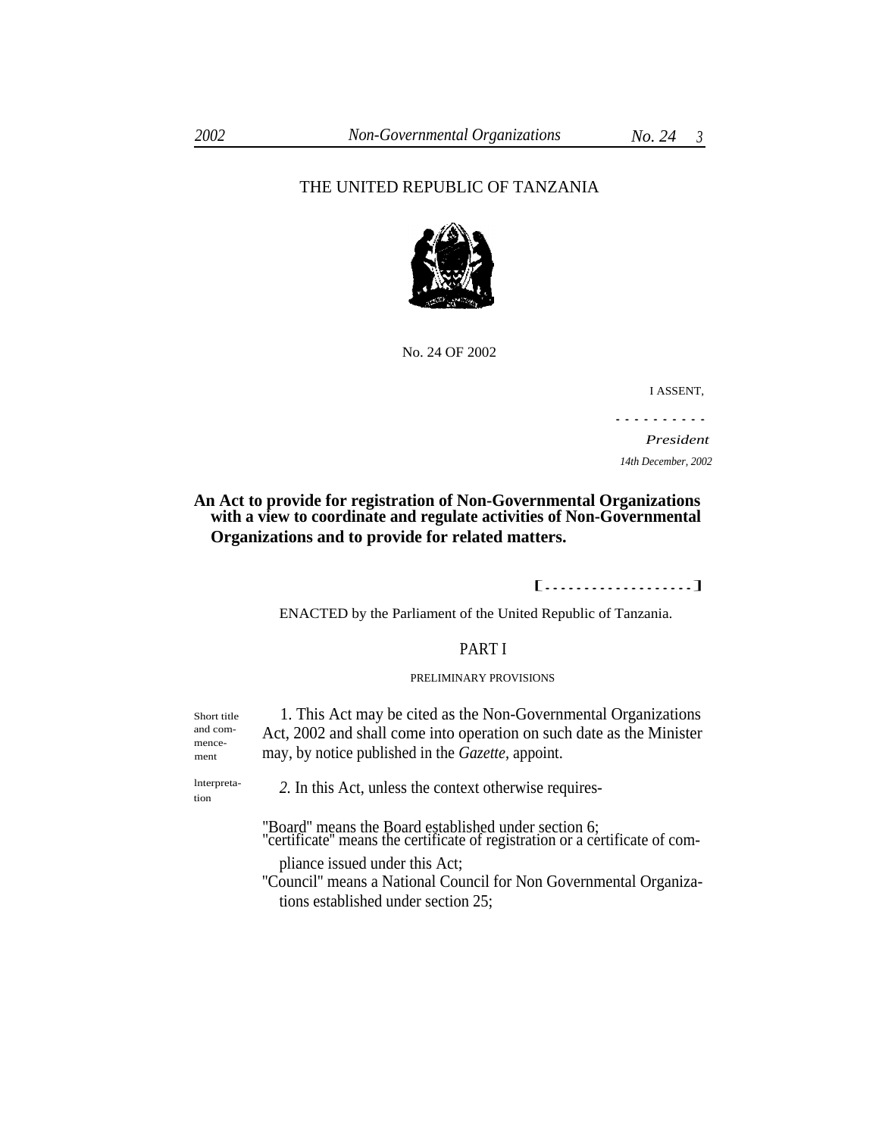# THE UNITED REPUBLIC OF TANZANIA



No. 24 OF 2002

I ASSENT,

..........

*President 14th December, 2002*

# **An Act to provide for registration of Non-Governmental Organizations with a view to coordinate and regulate activities of Non-Governmental Organizations and to provide for related matters.**

#### [...................]

ENACTED by the Parliament of the United Republic of Tanzania.

# PART I

#### PRELIMINARY PROVISIONS

1. This Act may be cited as the Non-Governmental Organizations Act, 2002 and shall come into operation on such date as the Minister may, by notice published in the *Gazette,* appoint.

and commencement

tion

Short title

lnterpreta- *2.* In this Act, unless the context otherwise requires-

"Board" means the Board established under section 6; ''certificate'' means the certificate of registration or a certificate of com-

pliance issued under this Act;

''Council'' means a National Council for Non Governmental Organizations established under section 25;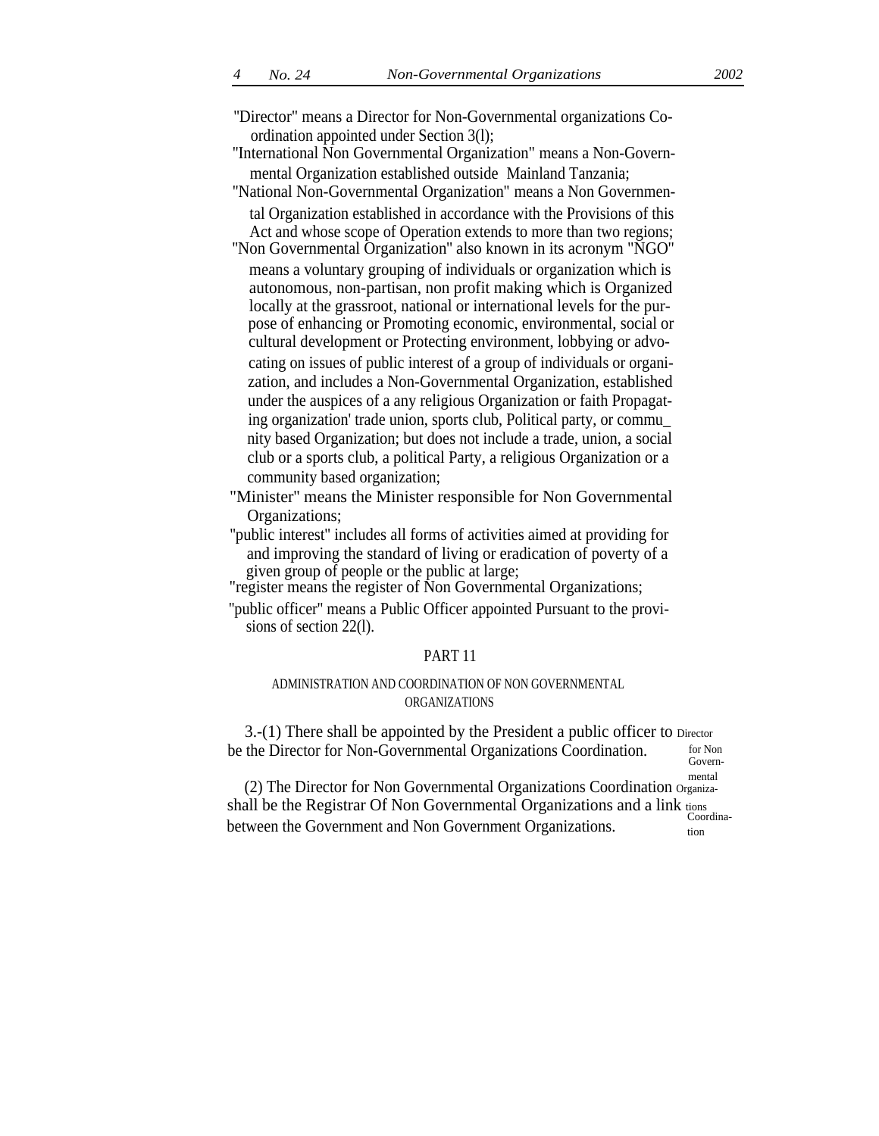''Director" means a Director for Non-Governmental organizations Coordination appointed under Section 3(l);

''International Non Governmental Organization" means a Non-Governmental Organization established outside Mainland Tanzania;

"National Non-Governmental Organization" means a Non Governmen-

tal Organization established in accordance with the Provisions of this Act and whose scope of Operation extends to more than two regions; ''Non Governmental Organization'' also known in its acronym "NGO''

means a voluntary grouping of individuals or organization which is autonomous, non-partisan, non profit making which is Organized locally at the grassroot, national or international levels for the purpose of enhancing or Promoting economic, environmental, social or cultural development or Protecting environment, lobbying or advocating on issues of public interest of a group of individuals or organization, and includes a Non-Governmental Organization, established under the auspices of a any religious Organization or faith Propagating organization' trade union, sports club, Political party, or commu\_ nity based Organization; but does not include a trade, union, a social club or a sports club, a political Party, a religious Organization or a community based organization;

"Minister'' means the Minister responsible for Non Governmental Organizations;

''public interest'' includes all forms of activities aimed at providing for and improving the standard of living or eradication of poverty of a given group of people or the public at large;

"register means the register of Non Governmental Organizations;

''public officer'' means a Public Officer appointed Pursuant to the provisions of section 22(l).

### PART 11

# ADMINISTRATION AND COORDINATION OF NON GOVERNMENTAL ORGANIZATIONS

3.-(1) There shall be appointed by the President a public officer to Director be the Director for Non-Governmental Organizations Coordination. for Non

Governmental

(2) The Director for Non Governmental Organizations Coordination Organizashall be the Registrar Of Non Governmental Organizations and a link  $\frac{\text{tions}}{\text{Coordinates}}$ between the Government and Non Government Organizations.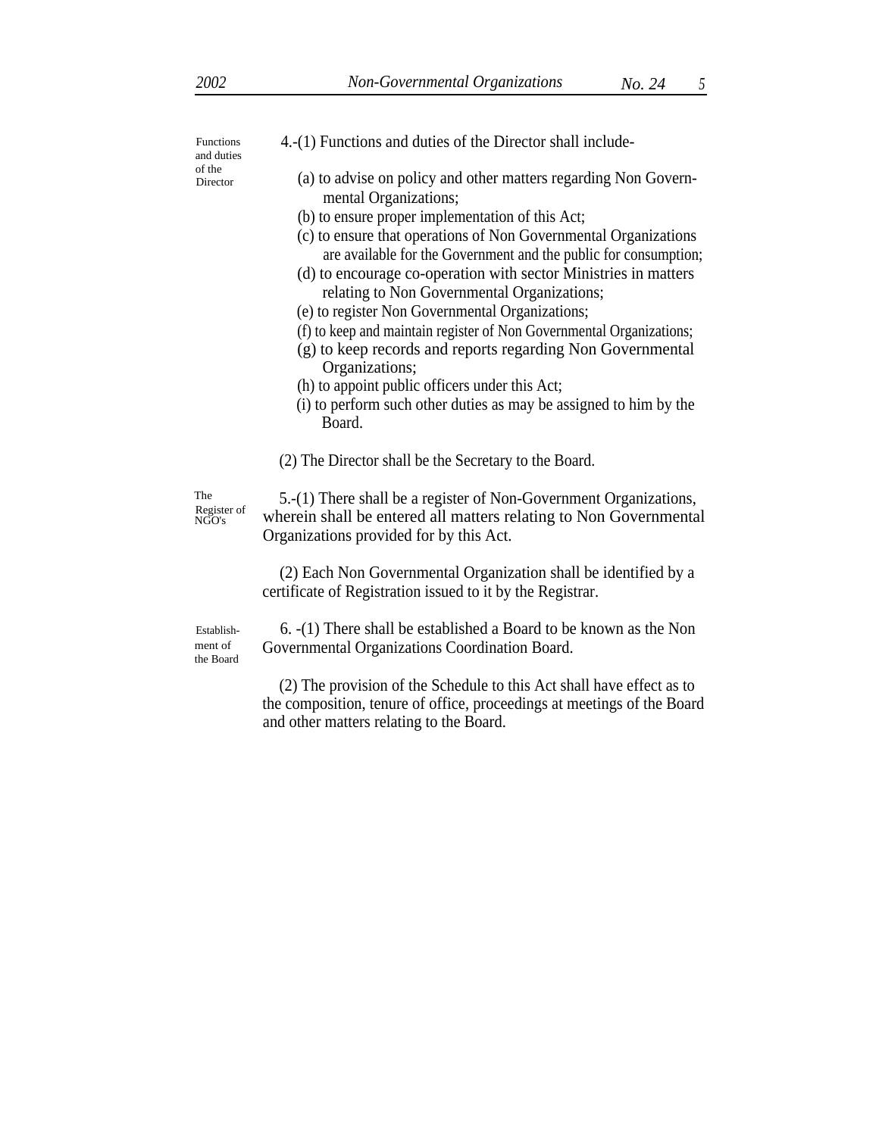and duties of the

- Functions 4.-(1) Functions and duties of the Director shall include-
- Director (a) to advise on policy and other matters regarding Non Governmental Organizations;
	- (b) to ensure proper implementation of this Act;
	- (c) to ensure that operations of Non Governmental Organizations are available for the Government and the public for consumption;
	- (d) to encourage co-operation with sector Ministries in matters relating to Non Governmental Organizations;
	- (e) to register Non Governmental Organizations;
	- (f) to keep and maintain register of Non Governmental Organizations;
	- (g) to keep records and reports regarding Non Governmental Organizations;
	- (h) to appoint public officers under this Act;
	- (i) to perform such other duties as may be assigned to him by the Board.
	- (2) The Director shall be the Secretary to the Board.

The Register of NGO's

5.-(1) There shall be a register of Non-Government Organizations, wherein shall be entered all matters relating to Non Governmental Organizations provided for by this Act.

(2) Each Non Governmental Organization shall be identified by a certificate of Registration issued to it by the Registrar.

Establishment of the Board

6. -(1) There shall be established a Board to be known as the Non Governmental Organizations Coordination Board.

(2) The provision of the Schedule to this Act shall have effect as to the composition, tenure of office, proceedings at meetings of the Board and other matters relating to the Board.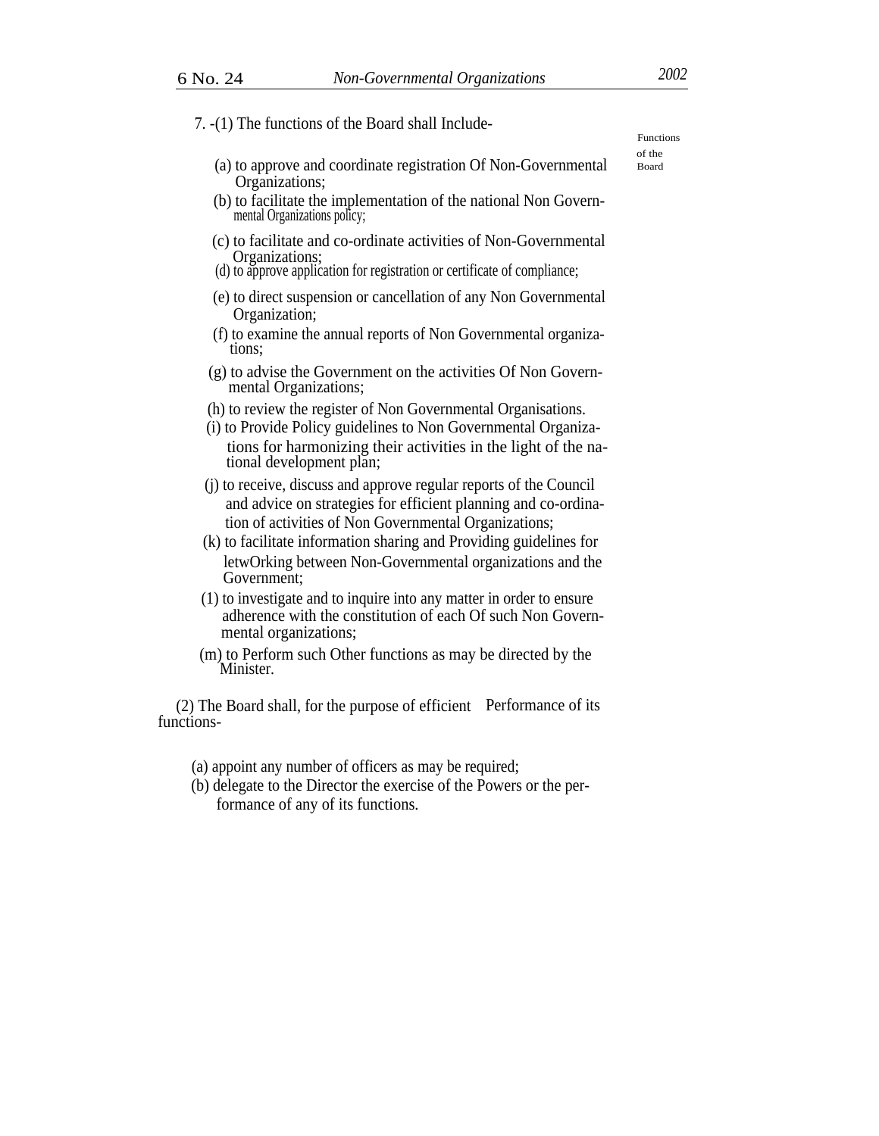| 7. -(1) The functions of the Board shall Include-                                                                                                                                                                                                                   | <b>Functions</b> |
|---------------------------------------------------------------------------------------------------------------------------------------------------------------------------------------------------------------------------------------------------------------------|------------------|
| (a) to approve and coordinate registration Of Non-Governmental<br>Organizations;                                                                                                                                                                                    | of the<br>Board  |
| (b) to facilitate the implementation of the national Non Govern-<br>mental Organizations policy;                                                                                                                                                                    |                  |
| (c) to facilitate and co-ordinate activities of Non-Governmental<br>Organizations;<br>(d) to approve application for registration or certificate of compliance;                                                                                                     |                  |
| (e) to direct suspension or cancellation of any Non Governmental<br>Organization;                                                                                                                                                                                   |                  |
| (f) to examine the annual reports of Non Governmental organiza-<br>tions:                                                                                                                                                                                           |                  |
| (g) to advise the Government on the activities Of Non Govern-<br>mental Organizations;                                                                                                                                                                              |                  |
| (h) to review the register of Non Governmental Organisations.<br>(i) to Provide Policy guidelines to Non Governmental Organiza-<br>tions for harmonizing their activities in the light of the na-<br>tional development plan;                                       |                  |
| (i) to receive, discuss and approve regular reports of the Council<br>and advice on strategies for efficient planning and co-ordina-<br>tion of activities of Non Governmental Organizations;<br>(k) to facilitate information sharing and Providing guidelines for |                  |
| letwOrking between Non-Governmental organizations and the<br>Government;                                                                                                                                                                                            |                  |
| (1) to investigate and to inquire into any matter in order to ensure<br>adherence with the constitution of each Of such Non Govern-<br>mental organizations;                                                                                                        |                  |
| (m) to Perform such Other functions as may be directed by the<br>Minister.                                                                                                                                                                                          |                  |
| (2) The Board shall, for the purpose of efficient Performance of its<br>functions-                                                                                                                                                                                  |                  |

(a) appoint any number of officers as may be required;

(b) delegate to the Director the exercise of the Powers or the performance of any of its functions.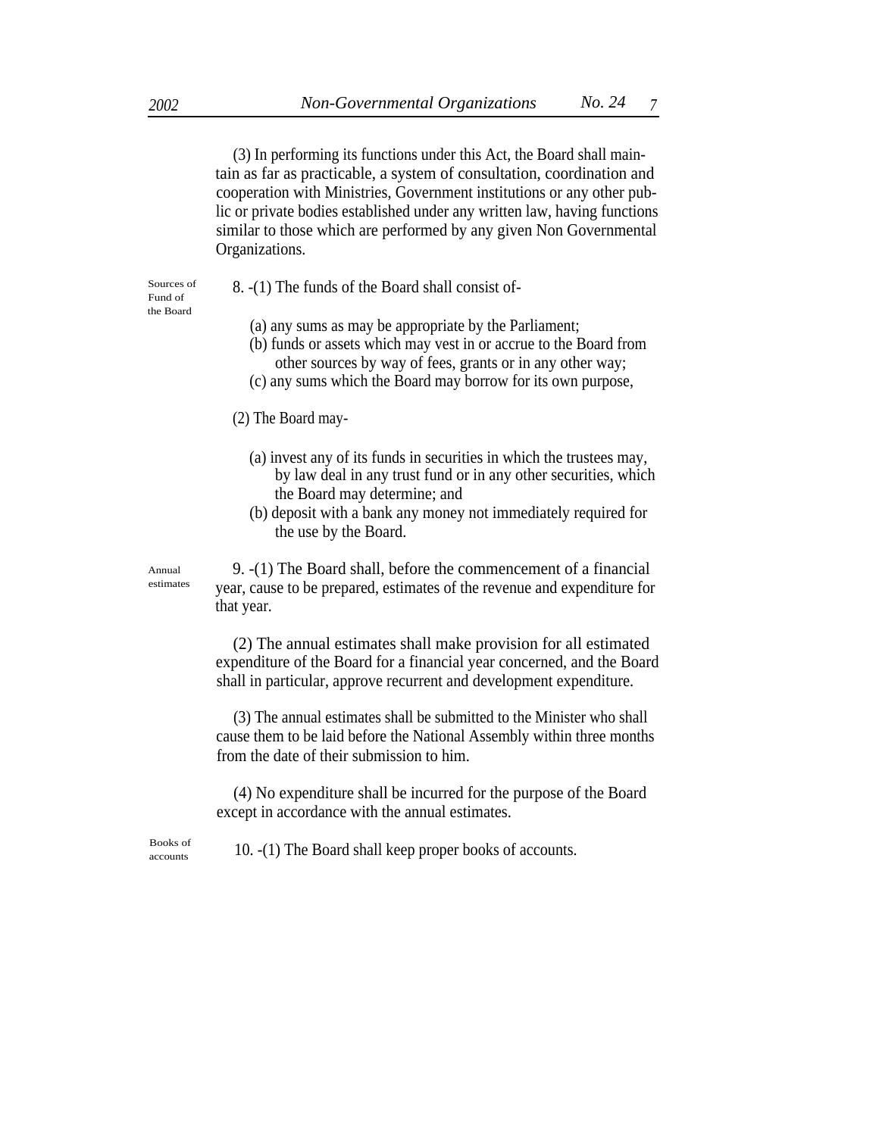(3) In performing its functions under this Act, the Board shall maintain as far as practicable, a system of consultation, coordination and cooperation with Ministries, Government institutions or any other public or private bodies established under any written law, having functions similar to those which are performed by any given Non Governmental Organizations.

Fund of the Board

- Sources of  $\qquad 8. -1$  The funds of the Board shall consist of-
	- (a) any sums as may be appropriate by the Parliament;
	- (b) funds or assets which may vest in or accrue to the Board from other sources by way of fees, grants or in any other way;
	- (c) any sums which the Board may borrow for its own purpose,

(2) The Board may-

- (a) invest any of its funds in securities in which the trustees may, by law deal in any trust fund or in any other securities, which the Board may determine; and
- (b) deposit with a bank any money not immediately required for the use by the Board.

Annual estimates

9. -(1) The Board shall, before the commencement of a financial year, cause to be prepared, estimates of the revenue and expenditure for that year.

(2) The annual estimates shall make provision for all estimated expenditure of the Board for a financial year concerned, and the Board shall in particular, approve recurrent and development expenditure.

 (3) The annual estimates shall be submitted to the Minister who shall cause them to be laid before the National Assembly within three months from the date of their submission to him.

(4) No expenditure shall be incurred for the purpose of the Board except in accordance with the annual estimates.

 $\frac{\text{Books of}}{\text{accounds}}$  10. -(1) The Board shall keep proper books of accounts.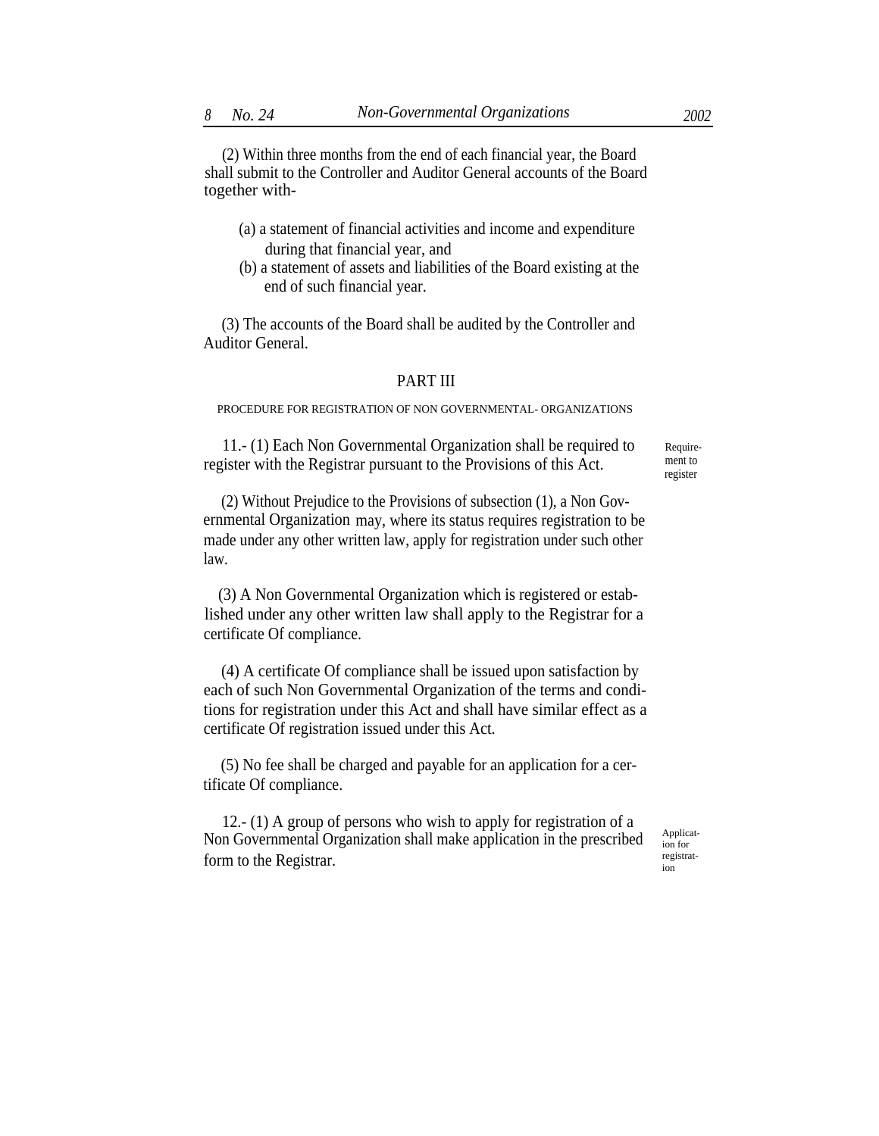(2) Within three months from the end of each financial year, the Board shall submit to the Controller and Auditor General accounts of the Board together with-

- (a) a statement of financial activities and income and expenditure during that financial year, and
- (b) a statement of assets and liabilities of the Board existing at the end of such financial year.

(3) The accounts of the Board shall be audited by the Controller and Auditor General.

#### PART III

PROCEDURE FOR REGISTRATION OF NON GOVERNMENTAL- ORGANIZATIONS

11.- (1) Each Non Governmental Organization shall be required to register with the Registrar pursuant to the Provisions of this Act.

Requirement to register

(2) Without Prejudice to the Provisions of subsection (1), a Non Governmental Organization may, where its status requires registration to be made under any other written law, apply for registration under such other law.

(3) A Non Governmental Organization which is registered or established under any other written law shall apply to the Registrar for a certificate Of compliance.

(4) A certificate Of compliance shall be issued upon satisfaction by each of such Non Governmental Organization of the terms and conditions for registration under this Act and shall have similar effect as a certificate Of registration issued under this Act.

(5) No fee shall be charged and payable for an application for a certificate Of compliance.

12.- (1) A group of persons who wish to apply for registration of a Non Governmental Organization shall make application in the prescribed  $A_{\text{pplicat}}$ form to the Registrar.  $\frac{reg}{ion}$ 

ion for registrat-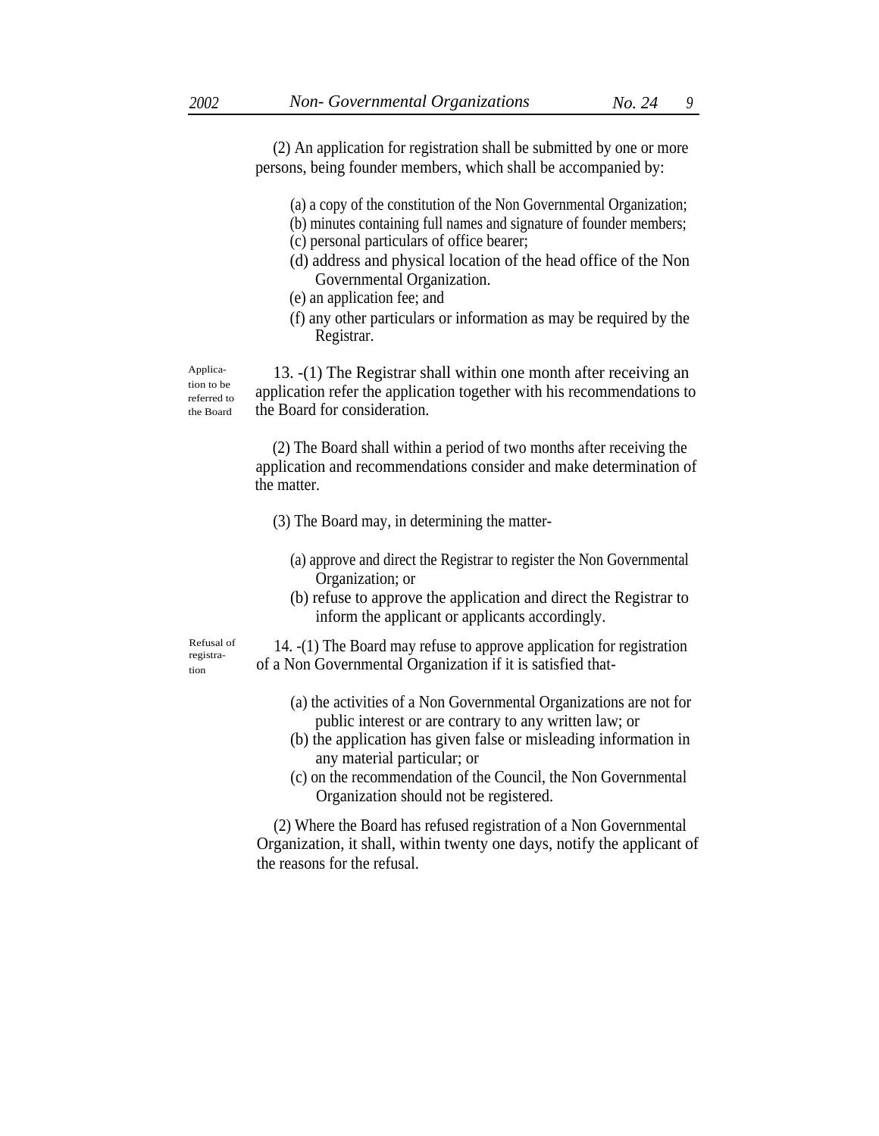(2) An application for registration shall be submitted by one or more persons, being founder members, which shall be accompanied by:

- (a) a copy of the constitution of the Non Governmental Organization;
- (b) minutes containing full names and signature of founder members;
- (c) personal particulars of office bearer;
- (d) address and physical location of the head office of the Non Governmental Organization.
- (e) an application fee; and
- (f) any other particulars or information as may be required by the Registrar.

Application to be referred to the Board

13. -(1) The Registrar shall within one month after receiving an application refer the application together with his recommendations to the Board for consideration.

(2) The Board shall within a period of two months after receiving the application and recommendations consider and make determination of the matter.

- (3) The Board may, in determining the matter-
	- (a) approve and direct the Registrar to register the Non Governmental Organization; or
	- (b) refuse to approve the application and direct the Registrar to inform the applicant or applicants accordingly.

Refusal of registration

- 14. -(1) The Board may refuse to approve application for registration of a Non Governmental Organization if it is satisfied that-
	- (a) the activities of a Non Governmental Organizations are not for public interest or are contrary to any written law; or
	- (b) the application has given false or misleading information in any material particular; or
	- (c) on the recommendation of the Council, the Non Governmental Organization should not be registered.

(2) Where the Board has refused registration of a Non Governmental Organization, it shall, within twenty one days, notify the applicant of the reasons for the refusal.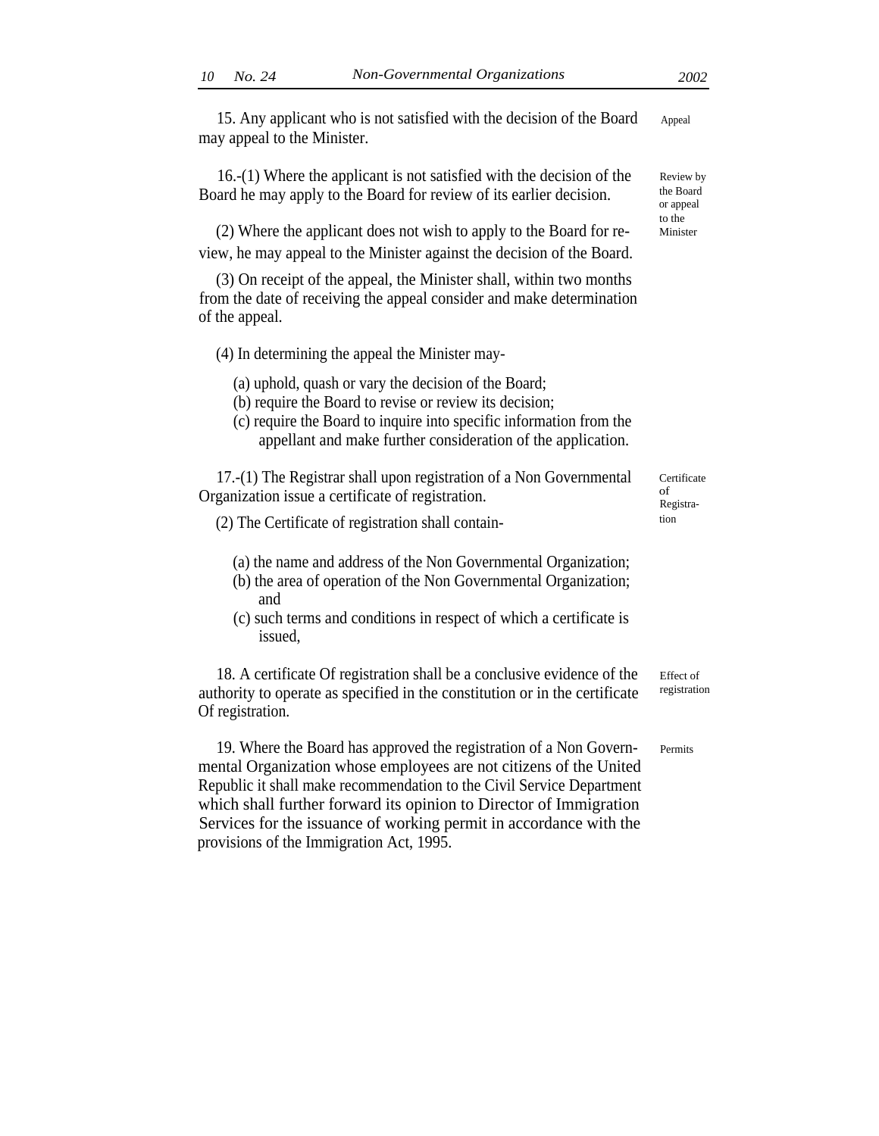15. Any applicant who is not satisfied with the decision of the Board Appeal may appeal to the Minister.

16.-(1) Where the applicant is not satisfied with the decision of the Board he may apply to the Board for review of its earlier decision.

(2) Where the applicant does not wish to apply to the Board for review, he may appeal to the Minister against the decision of the Board.

(3) On receipt of the appeal, the Minister shall, within two months from the date of receiving the appeal consider and make determination of the appeal.

(4) In determining the appeal the Minister may-

(a) uphold, quash or vary the decision of the Board;

- (b) require the Board to revise or review its decision;
- (c) require the Board to inquire into specific information from the appellant and make further consideration of the application.

17.-(1) The Registrar shall upon registration of a Non Governmental Organization issue a certificate of registration.

- (2) The Certificate of registration shall contain- tion
	- (a) the name and address of the Non Governmental Organization;
	- (b) the area of operation of the Non Governmental Organization; and
	- (c) such terms and conditions in respect of which a certificate is issued,

18. A certificate Of registration shall be a conclusive evidence of the authority to operate as specified in the constitution or in the certificate Of registration.

19. Where the Board has approved the registration of a Non Governmental Organization whose employees are not citizens of the United Republic it shall make recommendation to the Civil Service Department which shall further forward its opinion to Director of Immigration Services for the issuance of working permit in accordance with the provisions of the Immigration Act, 1995.

**Certificate** of Registra-

Effect of registration

Permits

Review by the Board or appeal to the

Minister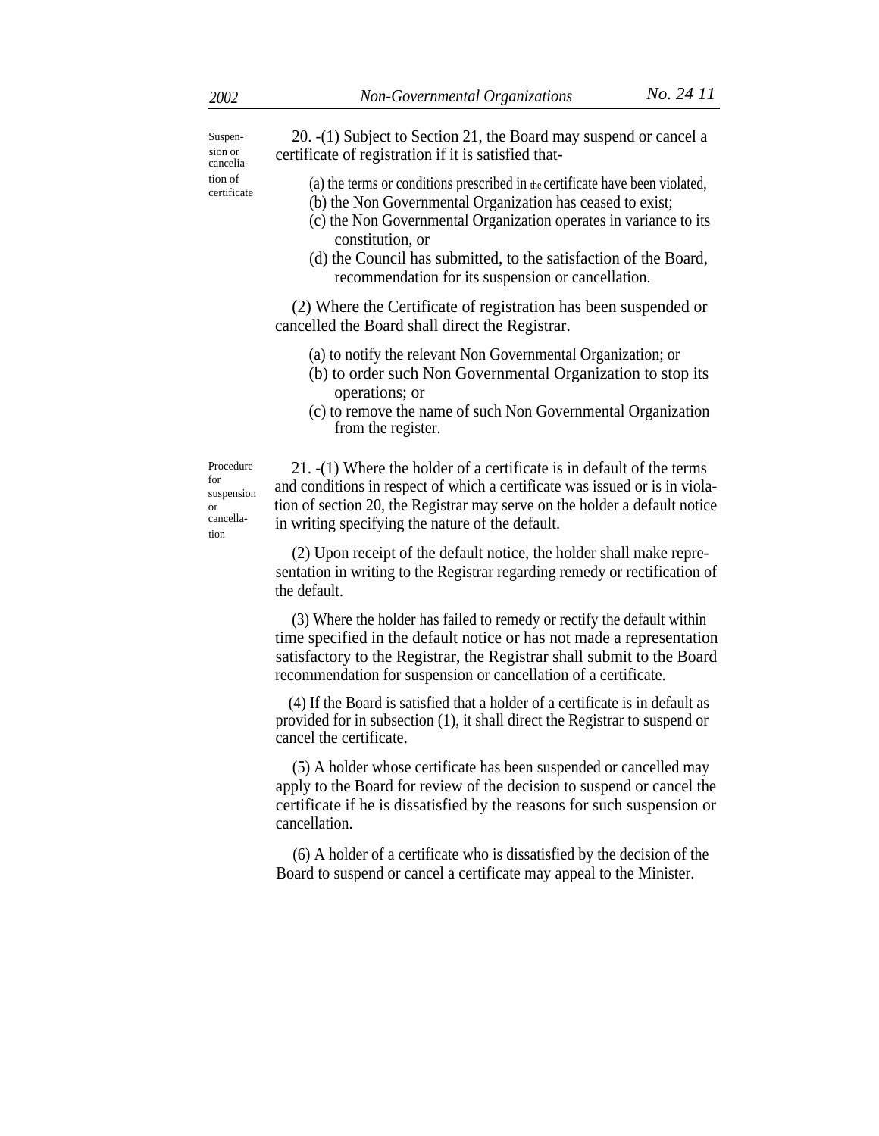Suspension or cancelia-

20. -(1) Subject to Section 21, the Board may suspend or cancel a certificate of registration if it is satisfied that-

- tion of (a) the terms or conditions prescribed in the certificate have been violated,
	- (b) the Non Governmental Organization has ceased to exist;
	- (c) the Non Governmental Organization operates in variance to its constitution, or
	- (d) the Council has submitted, to the satisfaction of the Board, recommendation for its suspension or cancellation.

(2) Where the Certificate of registration has been suspended or cancelled the Board shall direct the Registrar.

- (a) to notify the relevant Non Governmental Organization; or
- (b) to order such Non Governmental Organization to stop its operations; or
- (c) to remove the name of such Non Governmental Organization from the register.

Procedure for suspension or cancellation

21. -(1) Where the holder of a certificate is in default of the terms and conditions in respect of which a certificate was issued or is in violation of section 20, the Registrar may serve on the holder a default notice in writing specifying the nature of the default.

(2) Upon receipt of the default notice, the holder shall make representation in writing to the Registrar regarding remedy or rectification of the default.

(3) Where the holder has failed to remedy or rectify the default within time specified in the default notice or has not made a representation satisfactory to the Registrar, the Registrar shall submit to the Board recommendation for suspension or cancellation of a certificate.

(4) If the Board is satisfied that a holder of a certificate is in default as provided for in subsection (1), it shall direct the Registrar to suspend or cancel the certificate.

(5) A holder whose certificate has been suspended or cancelled may apply to the Board for review of the decision to suspend or cancel the certificate if he is dissatisfied by the reasons for such suspension or cancellation.

(6) A holder of a certificate who is dissatisfied by the decision of the Board to suspend or cancel a certificate may appeal to the Minister.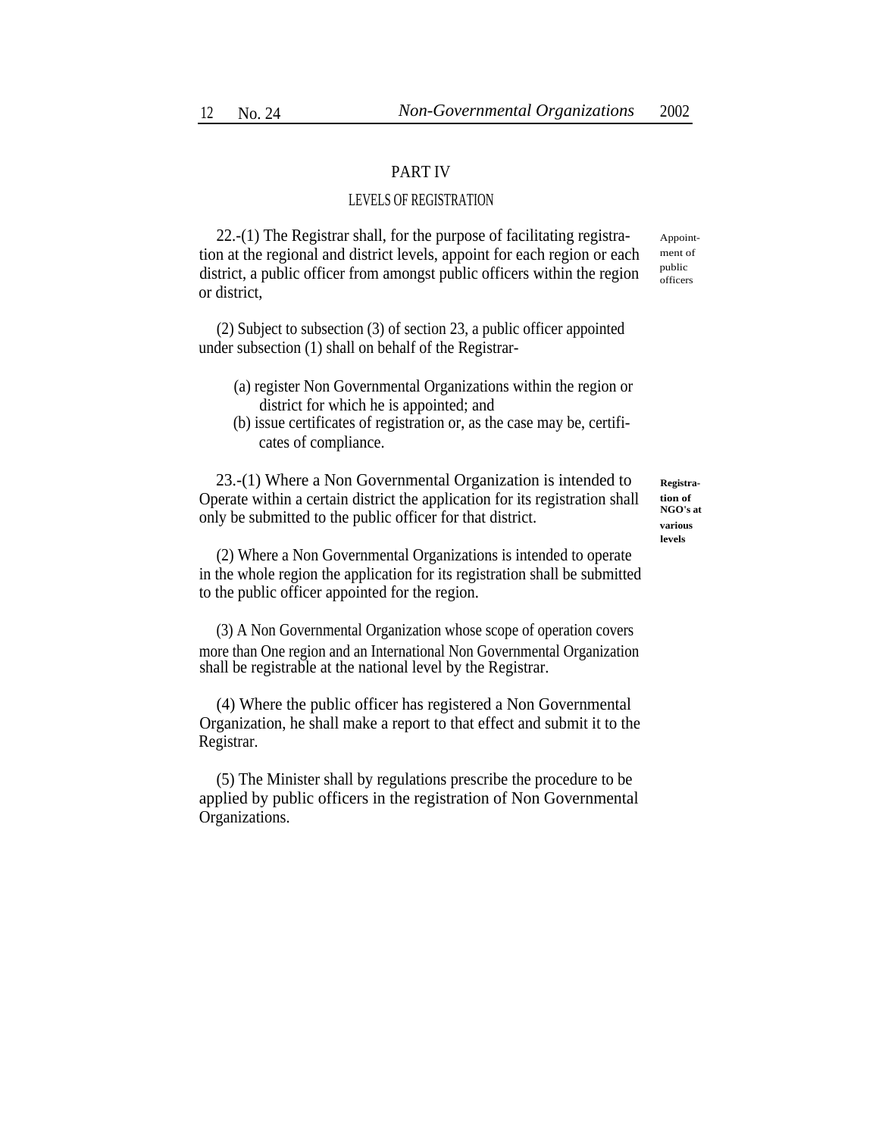# PART IV

# LEVELS OF REGISTRATION

22.-(1) The Registrar shall, for the purpose of facilitating registration at the regional and district levels, appoint for each region or each district, a public officer from amongst public officers within the region or district,

(2) Subject to subsection (3) of section 23, a public officer appointed under subsection (1) shall on behalf of the Registrar-

- (a) register Non Governmental Organizations within the region or district for which he is appointed; and
- (b) issue certificates of registration or, as the case may be, certificates of compliance.

23.-(1) Where a Non Governmental Organization is intended to Operate within a certain district the application for its registration shall only be submitted to the public officer for that district.

(2) Where a Non Governmental Organizations is intended to operate in the whole region the application for its registration shall be submitted to the public officer appointed for the region.

(3) A Non Governmental Organization whose scope of operation covers more than One region and an International Non Governmental Organization shall be registrable at the national level by the Registrar.

(4) Where the public officer has registered a Non Governmental Organization, he shall make a report to that effect and submit it to the Registrar.

(5) The Minister shall by regulations prescribe the procedure to be applied by public officers in the registration of Non Governmental Organizations.

**Registration of NGO's at various**

**levels**

Appointment of public officers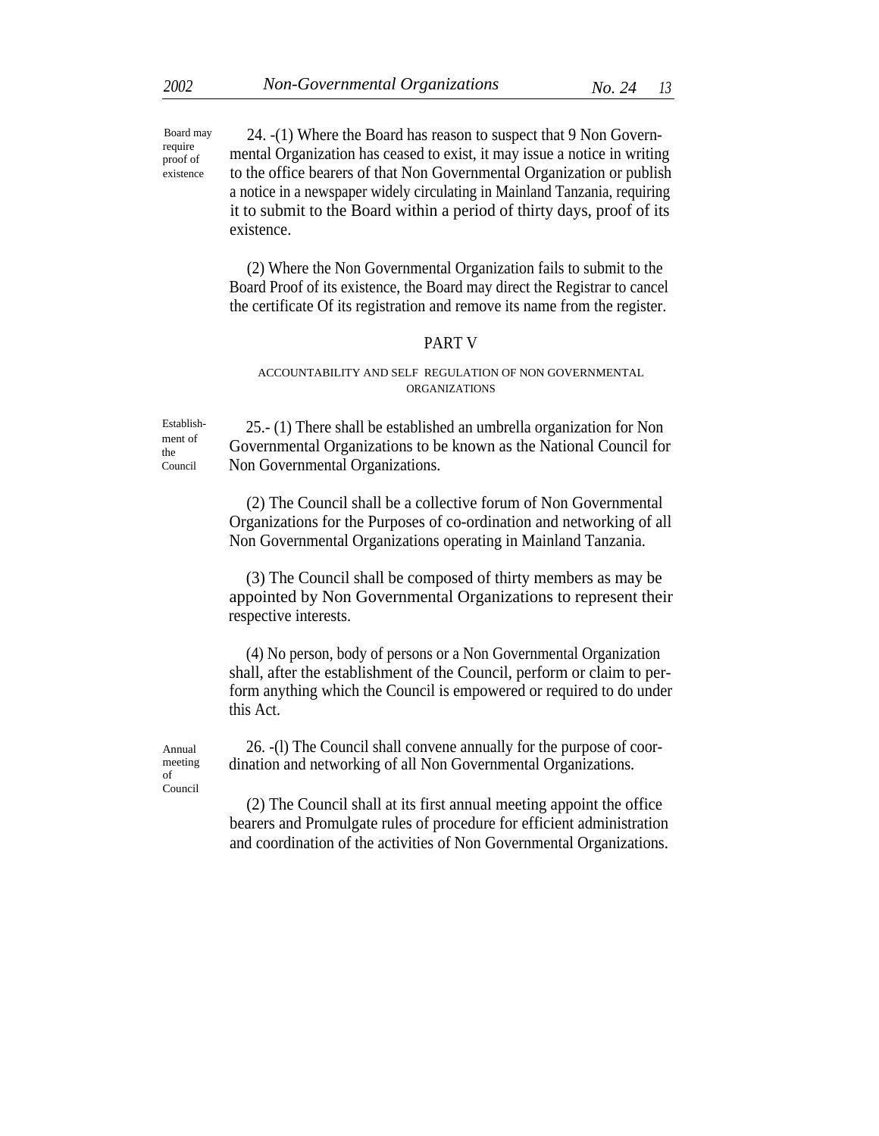24. -(1) Where the Board has reason to suspect that 9 Non Governmental Organization has ceased to exist, it may issue a notice in writing to the office bearers of that Non Governmental Organization or publish a notice in a newspaper widely circulating in Mainland Tanzania, requiring it to submit to the Board within a period of thirty days, proof of its existence. Board may

> (2) Where the Non Governmental Organization fails to submit to the Board Proof of its existence, the Board may direct the Registrar to cancel the certificate Of its registration and remove its name from the register.

### PART V

# ACCOUNTABILITY AND SELF REGULATION OF NON GOVERNMENTAL ORGANIZATIONS

ment of the Council

Establish- 25.- (1) There shall be established an umbrella organization for Non Governmental Organizations to be known as the National Council for Non Governmental Organizations.

> (2) The Council shall be a collective forum of Non Governmental Organizations for the Purposes of co-ordination and networking of all Non Governmental Organizations operating in Mainland Tanzania.

> (3) The Council shall be composed of thirty members as may be appointed by Non Governmental Organizations to represent their respective interests.

> (4) No person, body of persons or a Non Governmental Organization shall, after the establishment of the Council, perform or claim to perform anything which the Council is empowered or required to do under this Act.

meeting of Council

Annual 26. -(l) The Council shall convene annually for the purpose of coordination and networking of all Non Governmental Organizations.

> (2) The Council shall at its first annual meeting appoint the office bearers and Promulgate rules of procedure for efficient administration and coordination of the activities of Non Governmental Organizations.

require proof of existence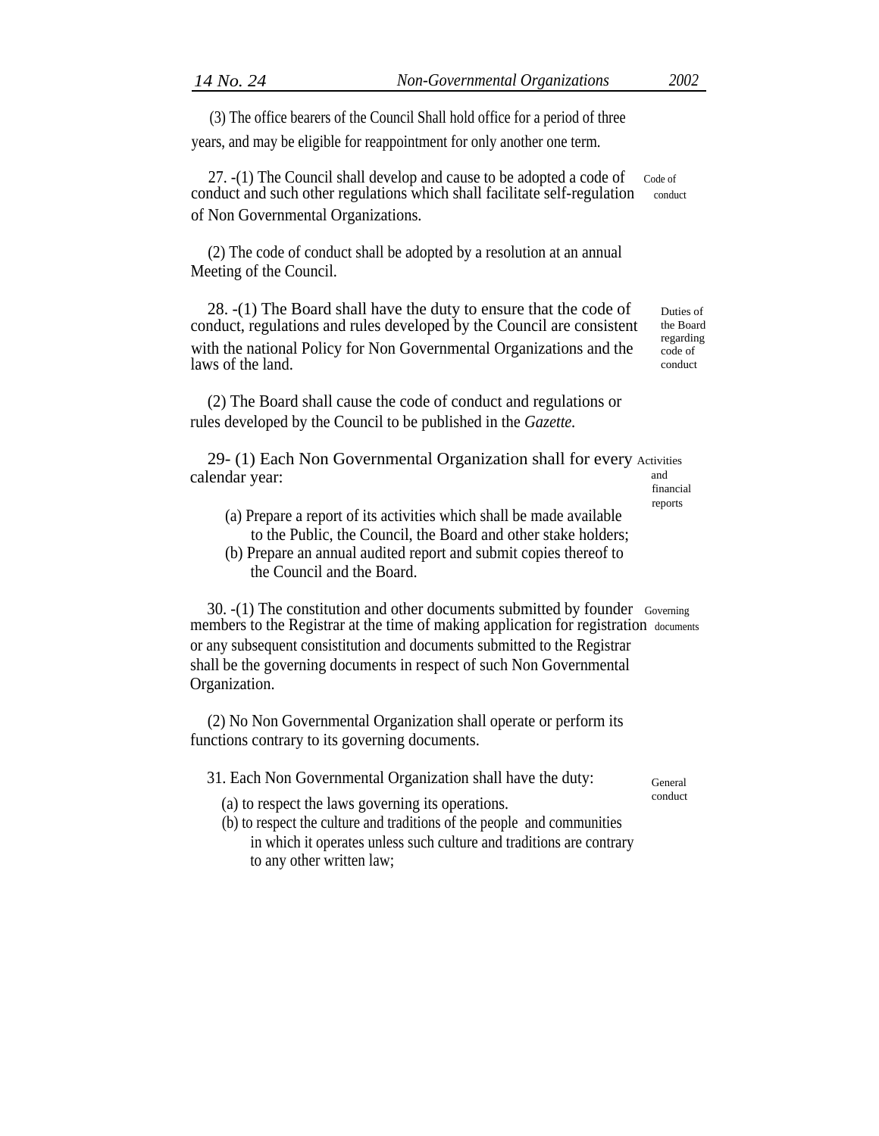(3) The office bearers of the Council Shall hold office for a period of three

years, and may be eligible for reappointment for only another one term.

27.  $-(1)$  The Council shall develop and cause to be adopted a code of  $C_{\text{ode of}}$ conduct and such other regulations which shall facilitate self-regulation conduct of Non Governmental Organizations.

(2) The code of conduct shall be adopted by a resolution at an annual Meeting of the Council.

28. -(1) The Board shall have the duty to ensure that the code of conduct, regulations and rules developed by the Council are consistent with the national Policy for Non Governmental Organizations and the laws of the land.

(2) The Board shall cause the code of conduct and regulations or rules developed by the Council to be published in the *Gazette.*

29- (1) Each Non Governmental Organization shall for every Activities calendar year:  $\qquad \qquad \text{and}$  and  $\qquad \text{and}$  and  $\qquad \text{and}$  and  $\qquad \text{and}$  and  $\qquad \text{and}$  and  $\qquad \text{and}$  and  $\qquad \text{and}$  and  $\qquad \text{and}$  and  $\qquad \text{and}$  and  $\qquad \text{and}$  and  $\qquad \text{and}$  and  $\qquad \text{and}$  and  $\qquad \text{and}$  and  $\qquad \text{and}$ 

financial reports

- (a) Prepare a report of its activities which shall be made available to the Public, the Council, the Board and other stake holders;
- (b) Prepare an annual audited report and submit copies thereof to the Council and the Board.

30. -(1) The constitution and other documents submitted by founder Governing members to the Registrar at the time of making application for registration documents or any subsequent consistitution and documents submitted to the Registrar shall be the governing documents in respect of such Non Governmental Organization.

(2) No Non Governmental Organization shall operate or perform its functions contrary to its governing documents.

31. Each Non Governmental Organization shall have the duty:  $\epsilon_{\text{General}}$ 

- (a) to respect the laws governing its operations.
- (b) to respect the culture and traditions of the people and communities in which it operates unless such culture and traditions are contrary to any other written law;

Duties of the Board regarding code of conduct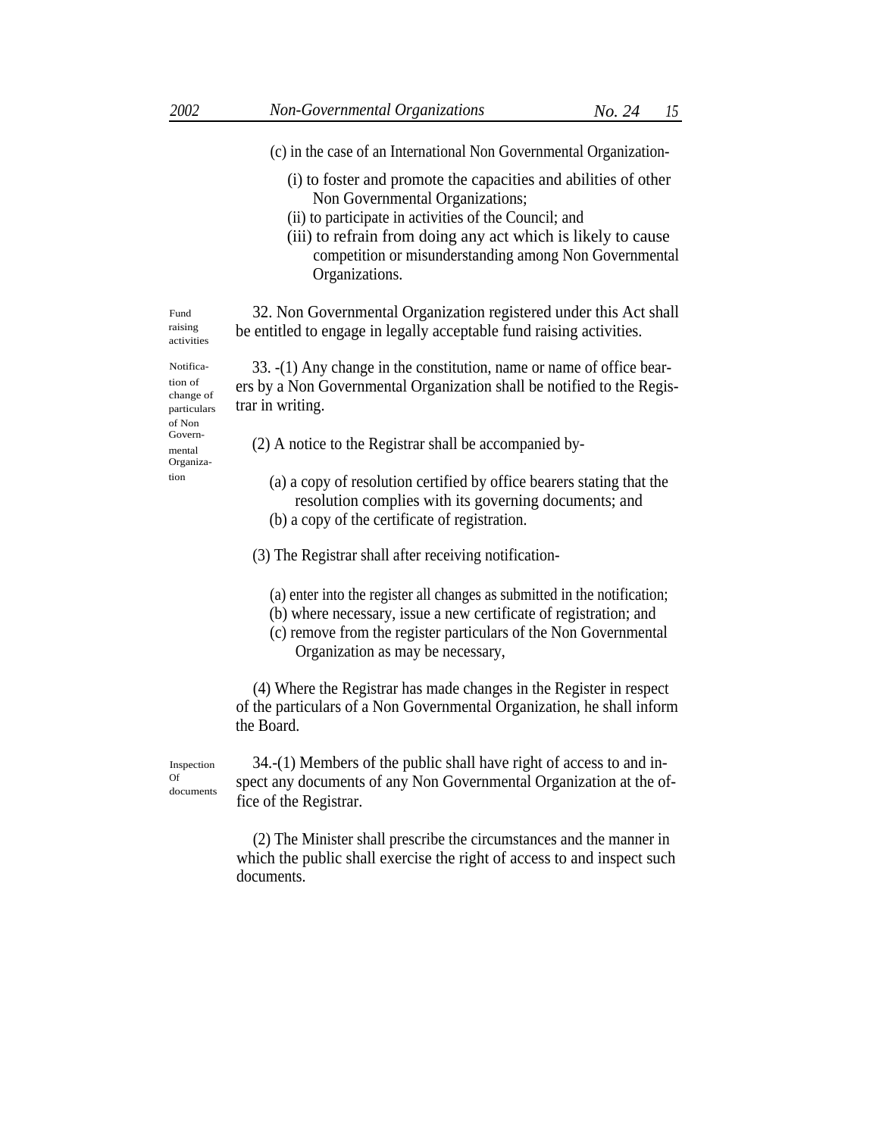- (c) in the case of an International Non Governmental Organization-
	- (i) to foster and promote the capacities and abilities of other Non Governmental Organizations;
	- (ii) to participate in activities of the Council; and
	- (iii) to refrain from doing any act which is likely to cause competition or misunderstanding among Non Governmental Organizations.

32. Non Governmental Organization registered under this Act shall be entitled to engage in legally acceptable fund raising activities.

33. -(1) Any change in the constitution, name or name of office bearers by a Non Governmental Organization shall be notified to the Registrar in writing.

 $\Gamma_{\text{metal}}$  (2) A notice to the Registrar shall be accompanied by-

- <sup>tion</sup> (a) a copy of resolution certified by office bearers stating that the resolution complies with its governing documents; and
	- (b) a copy of the certificate of registration.
	- (3) The Registrar shall after receiving notification-
		- (a) enter into the register all changes as submitted in the notification;
		- (b) where necessary, issue a new certificate of registration; and
		- (c) remove from the register particulars of the Non Governmental Organization as may be necessary,

(4) Where the Registrar has made changes in the Register in respect of the particulars of a Non Governmental Organization, he shall inform the Board.

Inspection Of documents

34.-(1) Members of the public shall have right of access to and inspect any documents of any Non Governmental Organization at the office of the Registrar.

(2) The Minister shall prescribe the circumstances and the manner in which the public shall exercise the right of access to and inspect such documents.

activities Notifica-

Fund raising

tion of change of particulars of Non<br>Govern-Organiza-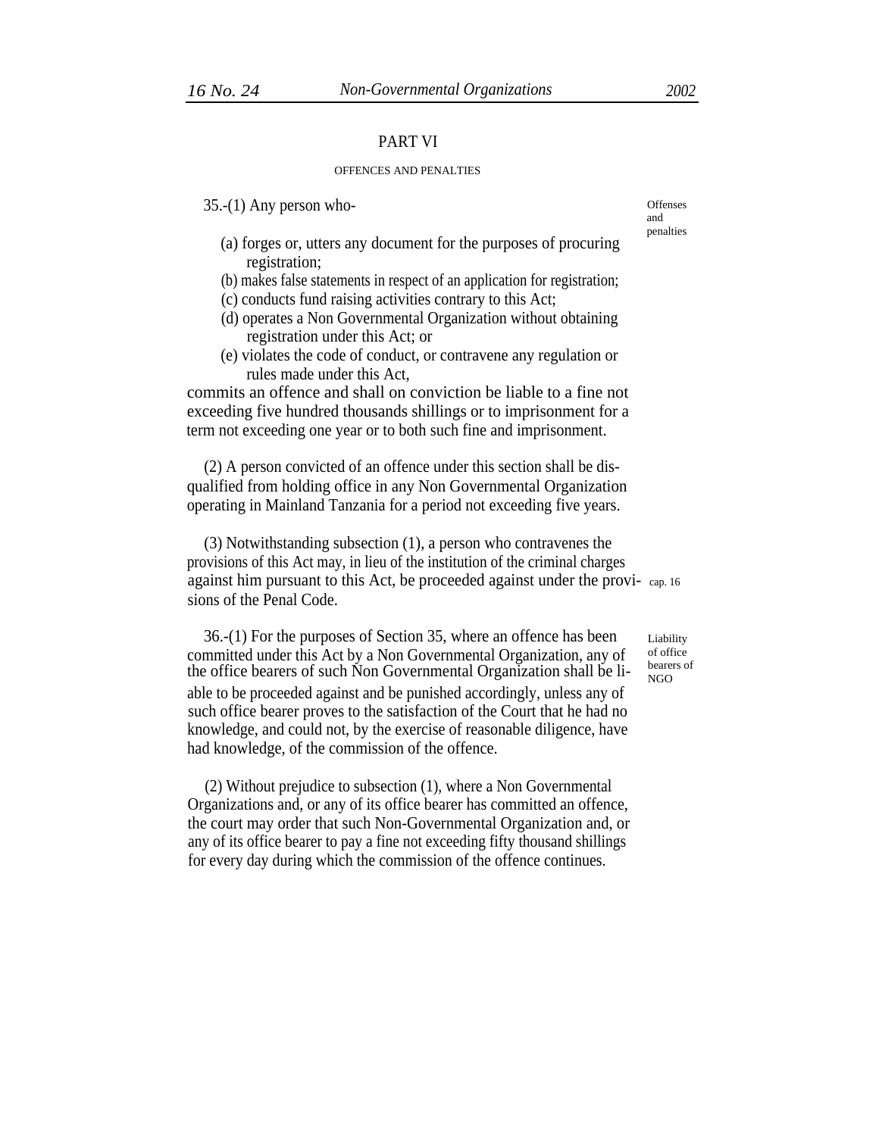# PART VI

#### OFFENCES AND PENALTIES

35.-(1) Any person who- Offenses

- (a) forges or, utters any document for the purposes of procuring registration;
- (b) makes false statements in respect of an application for registration;
- (c) conducts fund raising activities contrary to this Act;
- (d) operates a Non Governmental Organization without obtaining registration under this Act; or
- (e) violates the code of conduct, or contravene any regulation or rules made under this Act,

commits an offence and shall on conviction be liable to a fine not exceeding five hundred thousands shillings or to imprisonment for a term not exceeding one year or to both such fine and imprisonment.

(2) A person convicted of an offence under this section shall be disqualified from holding office in any Non Governmental Organization operating in Mainland Tanzania for a period not exceeding five years.

(3) Notwithstanding subsection (1), a person who contravenes the provisions of this Act may, in lieu of the institution of the criminal charges against him pursuant to this Act, be proceeded against under the provi- cap. 16 sions of the Penal Code.

36.-(1) For the purposes of Section 35, where an offence has been committed under this Act by a Non Governmental Organization, any of the office bearers of such Non Governmental Organization shall be liable to be proceeded against and be punished accordingly, unless any of such office bearer proves to the satisfaction of the Court that he had no knowledge, and could not, by the exercise of reasonable diligence, have had knowledge, of the commission of the offence.

(2) Without prejudice to subsection (1), where a Non Governmental Organizations and, or any of its office bearer has committed an offence, the court may order that such Non-Governmental Organization and, or any of its office bearer to pay a fine not exceeding fifty thousand shillings for every day during which the commission of the offence continues.

and penalties

Liability of office bearers of NGO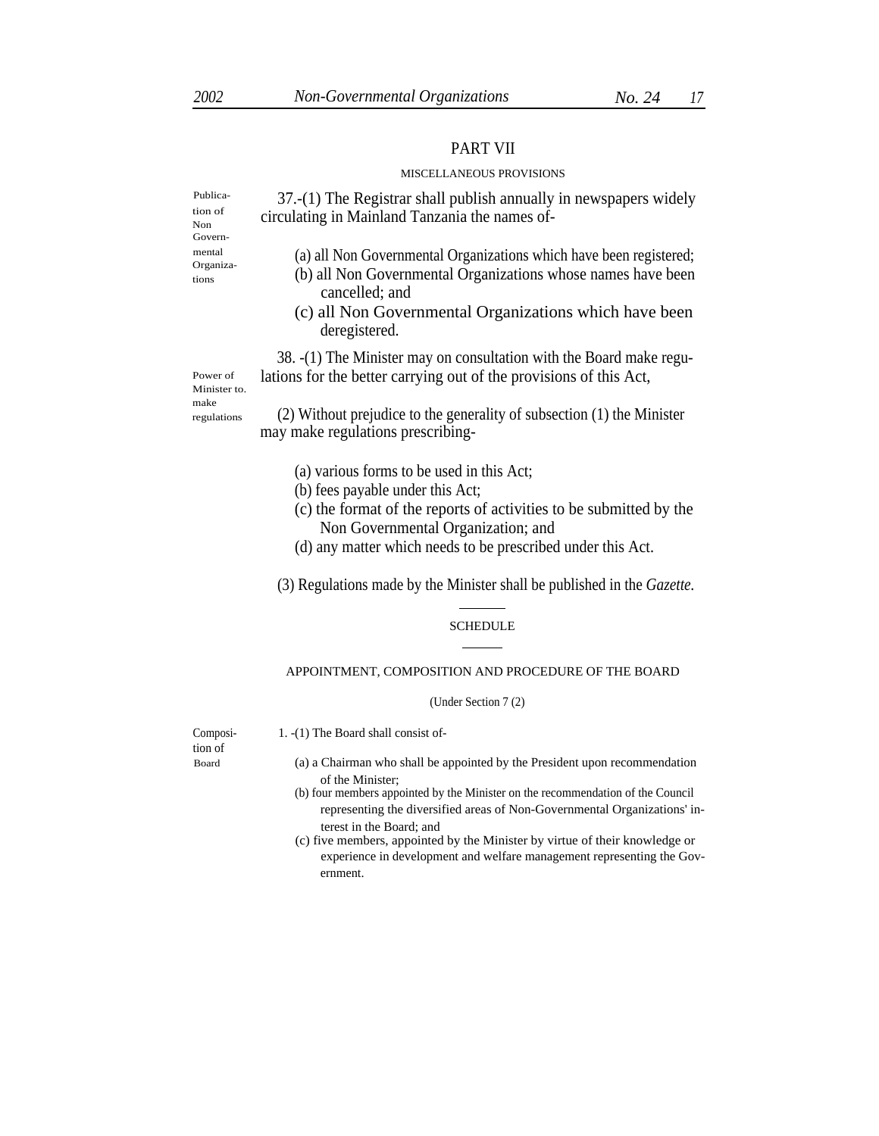#### PART VII

#### MISCELLANEOUS PROVISIONS

37.-(1) The Registrar shall publish annually in newspapers widely circulating in Mainland Tanzania the names of-

tion of Non Govern- Organiza-

Publica-

- mental (a) all Non Governmental Organizations which have been registered;
- tions (b) all Non Governmental Organizations whose names have been cancelled; and
	- (c) all Non Governmental Organizations which have been deregistered.

38. -(1) The Minister may on consultation with the Board make regu-Power of lations for the better carrying out of the provisions of this Act,

Minister to. make regulations

(2) Without prejudice to the generality of subsection (1) the Minister may make regulations prescribing-

- (a) various forms to be used in this Act;
- (b) fees payable under this Act;
- (c) the format of the reports of activities to be submitted by the Non Governmental Organization; and
- (d) any matter which needs to be prescribed under this Act.

(3) Regulations made by the Minister shall be published in the *Gazette.*

#### SCHEDULE

#### APPOINTMENT, COMPOSITION AND PROCEDURE OF THE BOARD

#### (Under Section 7 (2)

Composi- 1. -(1) The Board shall consist oftion of

- Board (a) a Chairman who shall be appointed by the President upon recommendation of the Minister;
	- (b) four members appointed by the Minister on the recommendation of the Council representing the diversified areas of Non-Governmental Organizations' interest in the Board; and
	- (c) five members, appointed by the Minister by virtue of their knowledge or experience in development and welfare management representing the Government.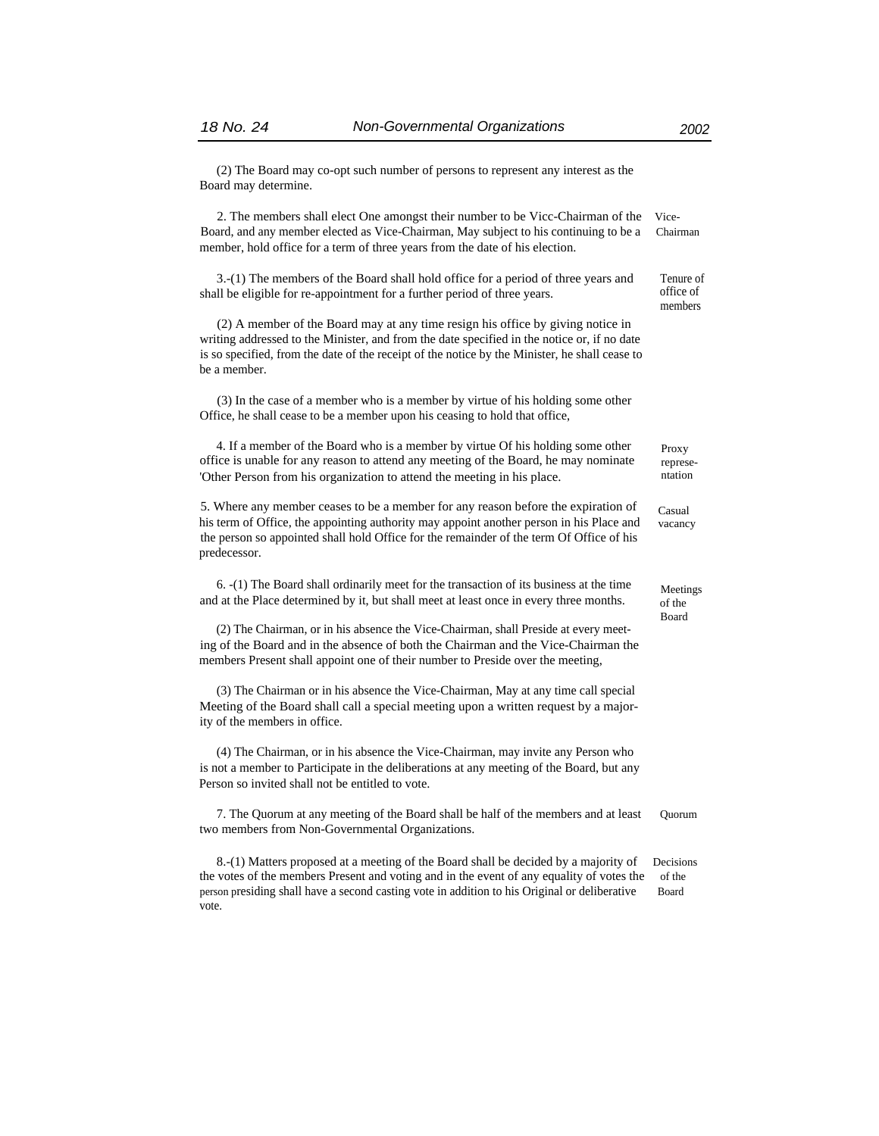(2) The Board may co-opt such number of persons to represent any interest as the Board may determine.

2. The members shall elect One amongst their number to be Vicc-Chairman of the Vice-Board, and any member elected as Vice-Chairman, May subject to his continuing to be a Chairman member, hold office for a term of three years from the date of his election.

 $3.-(1)$  The members of the Board shall hold office for a period of three years and Tenure of  $\frac{1}{1}$  be eligible for re-appointment for a further period of three years office of shall be eligible for re-appointment for a further period of three years.

(2) A member of the Board may at any time resign his office by giving notice in writing addressed to the Minister, and from the date specified in the notice or, if no date is so specified, from the date of the receipt of the notice by the Minister, he shall cease to be a member.

(3) In the case of a member who is a member by virtue of his holding some other Office, he shall cease to be a member upon his ceasing to hold that office,

4. If a member of the Board who is a member by virtue Of his holding some other office is unable for any reason to attend any meeting of the Board, he may nominate 'Other Person from his organization to attend the meeting in his place. ntation

5. Where any member ceases to be a member for any reason before the expiration of his term of Office, the appointing authority may appoint another person in his Place and the person so appointed shall hold Office for the remainder of the term Of Office of his predecessor.

6. -(1) The Board shall ordinarily meet for the transaction of its business at the time and at the Place determined by it, but shall meet at least once in every three months.

(2) The Chairman, or in his absence the Vice-Chairman, shall Preside at every meeting of the Board and in the absence of both the Chairman and the Vice-Chairman the members Present shall appoint one of their number to Preside over the meeting,

(3) The Chairman or in his absence the Vice-Chairman, May at any time call special Meeting of the Board shall call a special meeting upon a written request by a majority of the members in office.

(4) The Chairman, or in his absence the Vice-Chairman, may invite any Person who is not a member to Participate in the deliberations at any meeting of the Board, but any Person so invited shall not be entitled to vote.

7. The Quorum at any meeting of the Board shall be half of the members and at least Quorum two members from Non-Governmental Organizations.

8.-(1) Matters proposed at a meeting of the Board shall be decided by a majority of Decisions the votes of the members Present and voting and in the event of any equality of votes the of the person presiding shall have a second casting vote in addition to his Original or deliberative Board vote.

members

Proxy represe-

Casual vacancy

Meetings of the Board